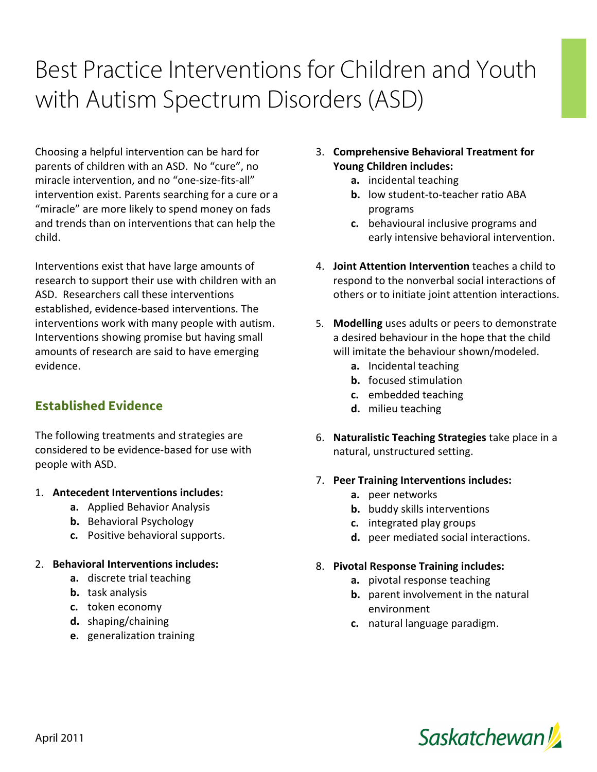# Best Practice Interventions for Children and Youth with Autism Spectrum Disorders (ASD)

Choosing a helpful intervention can be hard for parents of children with an ASD. No "cure", no miracle intervention, and no "one-size-fits-all" intervention exist. Parents searching for a cure or a "miracle" are more likely to spend money on fads and trends than on interventions that can help the child.

Interventions exist that have large amounts of research to support their use with children with an ASD. Researchers call these interventions established, evidence-based interventions. The interventions work with many people with autism. Interventions showing promise but having small amounts of research are said to have emerging evidence.

## **Established Evidence**

The following treatments and strategies are considered to be evidence-based for use with people with ASD.

#### 1. **Antecedent Interventions includes:**

- **a.** Applied Behavior Analysis
- **b.** Behavioral Psychology
- **c.** Positive behavioral supports.

#### 2. **Behavioral Interventions includes:**

- **a.** discrete trial teaching
- **b.** task analysis
- **c.** token economy
- **d.** shaping/chaining
- **e.** generalization training
- 3. **Comprehensive Behavioral Treatment for Young Children includes:**
	- **a.** incidental teaching
	- **b.** low student-to-teacher ratio ABA programs
	- **c.** behavioural inclusive programs and early intensive behavioral intervention.
- 4. **Joint Attention Intervention** teaches a child to respond to the nonverbal social interactions of others or to initiate joint attention interactions.
- 5. **Modelling** uses adults or peers to demonstrate a desired behaviour in the hope that the child will imitate the behaviour shown/modeled.
	- **a.** Incidental teaching
	- **b.** focused stimulation
	- **c.** embedded teaching
	- **d.** milieu teaching
- 6. **Naturalistic Teaching Strategies** take place in a natural, unstructured setting.

#### 7. **Peer Training Interventions includes:**

- **a.** peer networks
- **b.** buddy skills interventions
- **c.** integrated play groups
- **d.** peer mediated social interactions.

#### 8. **Pivotal Response Training includes:**

- **a.** pivotal response teaching
- **b.** parent involvement in the natural environment
- **c.** natural language paradigm.